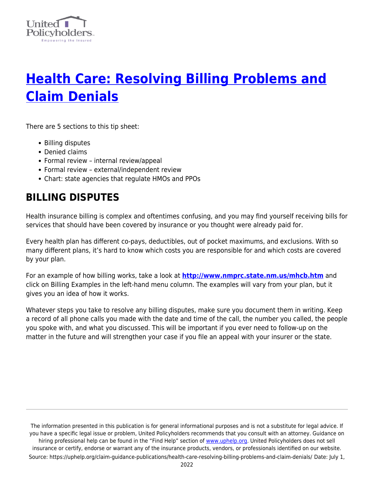

# **[Health Care: Resolving Billing Problems and](https://uphelp.org/claim-guidance-publications/health-care-resolving-billing-problems-and-claim-denials/) [Claim Denials](https://uphelp.org/claim-guidance-publications/health-care-resolving-billing-problems-and-claim-denials/)**

There are 5 sections to this tip sheet:

- Billing disputes
- Denied claims
- Formal review internal review/appeal
- Formal review external/independent review
- Chart: state agencies that regulate HMOs and PPOs

### **BILLING DISPUTES**

Health insurance billing is complex and oftentimes confusing, and you may find yourself receiving bills for services that should have been covered by insurance or you thought were already paid for.

Every health plan has different co-pays, deductibles, out of pocket maximums, and exclusions. With so many different plans, it's hard to know which costs you are responsible for and which costs are covered by your plan.

For an example of how billing works, take a look at **<http://www.nmprc.state.nm.us/mhcb.htm>** and click on Billing Examples in the left-hand menu column. The examples will vary from your plan, but it gives you an idea of how it works.

Whatever steps you take to resolve any billing disputes, make sure you document them in writing. Keep a record of all phone calls you made with the date and time of the call, the number you called, the people you spoke with, and what you discussed. This will be important if you ever need to follow-up on the matter in the future and will strengthen your case if you file an appeal with your insurer or the state.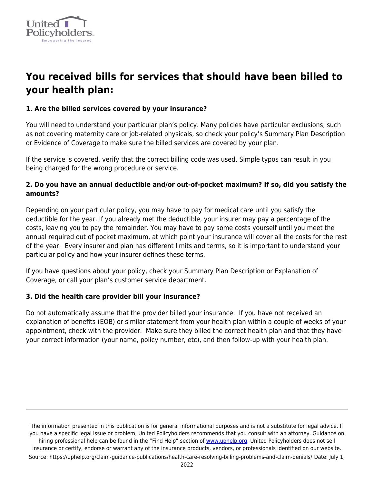

# **You received bills for services that should have been billed to your health plan:**

#### **1. Are the billed services covered by your insurance?**

You will need to understand your particular plan's policy. Many policies have particular exclusions, such as not covering maternity care or job-related physicals, so check your policy's Summary Plan Description or Evidence of Coverage to make sure the billed services are covered by your plan.

If the service is covered, verify that the correct billing code was used. Simple typos can result in you being charged for the wrong procedure or service.

#### **2. Do you have an annual deductible and/or out-of-pocket maximum? If so, did you satisfy the amounts?**

Depending on your particular policy, you may have to pay for medical care until you satisfy the deductible for the year. If you already met the deductible, your insurer may pay a percentage of the costs, leaving you to pay the remainder. You may have to pay some costs yourself until you meet the annual required out of pocket maximum, at which point your insurance will cover all the costs for the rest of the year. Every insurer and plan has different limits and terms, so it is important to understand your particular policy and how your insurer defines these terms.

If you have questions about your policy, check your Summary Plan Description or Explanation of Coverage, or call your plan's customer service department.

#### **3. Did the health care provider bill your insurance?**

Do not automatically assume that the provider billed your insurance. If you have not received an explanation of benefits (EOB) or similar statement from your health plan within a couple of weeks of your appointment, check with the provider. Make sure they billed the correct health plan and that they have your correct information (your name, policy number, etc), and then follow-up with your health plan.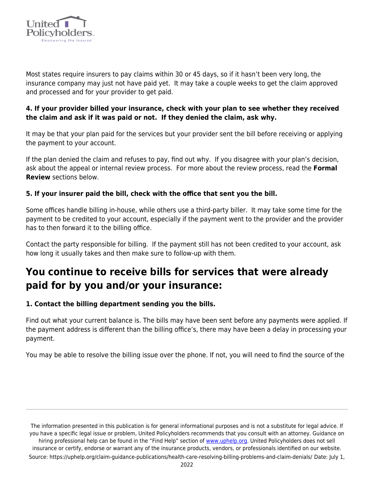

Most states require insurers to pay claims within 30 or 45 days, so if it hasn't been very long, the insurance company may just not have paid yet. It may take a couple weeks to get the claim approved and processed and for your provider to get paid.

#### **4. If your provider billed your insurance, check with your plan to see whether they received the claim and ask if it was paid or not. If they denied the claim, ask why.**

It may be that your plan paid for the services but your provider sent the bill before receiving or applying the payment to your account.

If the plan denied the claim and refuses to pay, find out why. If you disagree with your plan's decision, ask about the appeal or internal review process. For more about the review process, read the **Formal Review** sections below.

#### **5. If your insurer paid the bill, check with the office that sent you the bill.**

Some offices handle billing in-house, while others use a third-party biller. It may take some time for the payment to be credited to your account, especially if the payment went to the provider and the provider has to then forward it to the billing office.

Contact the party responsible for billing. If the payment still has not been credited to your account, ask how long it usually takes and then make sure to follow-up with them.

# **You continue to receive bills for services that were already paid for by you and/or your insurance:**

#### **1. Contact the billing department sending you the bills.**

Find out what your current balance is. The bills may have been sent before any payments were applied. If the payment address is different than the billing office's, there may have been a delay in processing your payment.

You may be able to resolve the billing issue over the phone. If not, you will need to find the source of the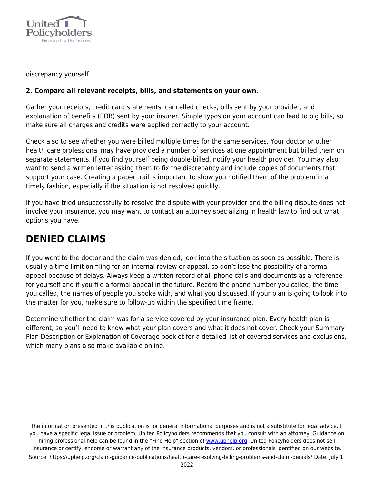

discrepancy yourself.

#### **2. Compare all relevant receipts, bills, and statements on your own.**

Gather your receipts, credit card statements, cancelled checks, bills sent by your provider, and explanation of benefits (EOB) sent by your insurer. Simple typos on your account can lead to big bills, so make sure all charges and credits were applied correctly to your account.

Check also to see whether you were billed multiple times for the same services. Your doctor or other health care professional may have provided a number of services at one appointment but billed them on separate statements. If you find yourself being double-billed, notify your health provider. You may also want to send a written letter asking them to fix the discrepancy and include copies of documents that support your case. Creating a paper trail is important to show you notified them of the problem in a timely fashion, especially if the situation is not resolved quickly.

If you have tried unsuccessfully to resolve the dispute with your provider and the billing dispute does not involve your insurance, you may want to contact an attorney specializing in health law to find out what options you have.

## **DENIED CLAIMS**

If you went to the doctor and the claim was denied, look into the situation as soon as possible. There is usually a time limit on filing for an internal review or appeal, so don't lose the possibility of a formal appeal because of delays. Always keep a written record of all phone calls and documents as a reference for yourself and if you file a formal appeal in the future. Record the phone number you called, the time you called, the names of people you spoke with, and what you discussed. If your plan is going to look into the matter for you, make sure to follow-up within the specified time frame.

Determine whether the claim was for a service covered by your insurance plan. Every health plan is different, so you'll need to know what your plan covers and what it does not cover. Check your Summary Plan Description or Explanation of Coverage booklet for a detailed list of covered services and exclusions, which many plans also make available online.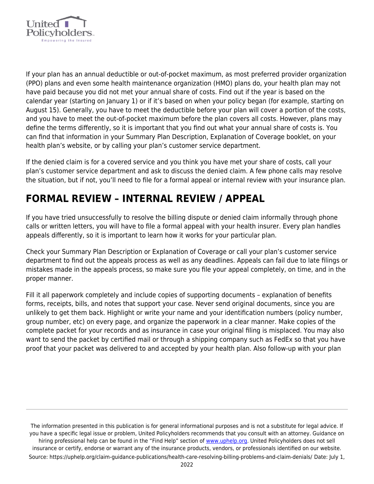

If your plan has an annual deductible or out-of-pocket maximum, as most preferred provider organization (PPO) plans and even some health maintenance organization (HMO) plans do, your health plan may not have paid because you did not met your annual share of costs. Find out if the year is based on the calendar year (starting on January 1) or if it's based on when your policy began (for example, starting on August 15). Generally, you have to meet the deductible before your plan will cover a portion of the costs, and you have to meet the out-of-pocket maximum before the plan covers all costs. However, plans may define the terms differently, so it is important that you find out what your annual share of costs is. You can find that information in your Summary Plan Description, Explanation of Coverage booklet, on your health plan's website, or by calling your plan's customer service department.

If the denied claim is for a covered service and you think you have met your share of costs, call your plan's customer service department and ask to discuss the denied claim. A few phone calls may resolve the situation, but if not, you'll need to file for a formal appeal or internal review with your insurance plan.

# **FORMAL REVIEW – INTERNAL REVIEW / APPEAL**

If you have tried unsuccessfully to resolve the billing dispute or denied claim informally through phone calls or written letters, you will have to file a formal appeal with your health insurer. Every plan handles appeals differently, so it is important to learn how it works for your particular plan.

Check your Summary Plan Description or Explanation of Coverage or call your plan's customer service department to find out the appeals process as well as any deadlines. Appeals can fail due to late filings or mistakes made in the appeals process, so make sure you file your appeal completely, on time, and in the proper manner.

Fill it all paperwork completely and include copies of supporting documents – explanation of benefits forms, receipts, bills, and notes that support your case. Never send original documents, since you are unlikely to get them back. Highlight or write your name and your identification numbers (policy number, group number, etc) on every page, and organize the paperwork in a clear manner. Make copies of the complete packet for your records and as insurance in case your original filing is misplaced. You may also want to send the packet by certified mail or through a shipping company such as FedEx so that you have proof that your packet was delivered to and accepted by your health plan. Also follow-up with your plan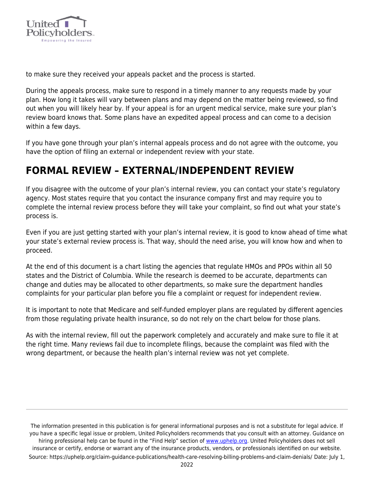

to make sure they received your appeals packet and the process is started.

During the appeals process, make sure to respond in a timely manner to any requests made by your plan. How long it takes will vary between plans and may depend on the matter being reviewed, so find out when you will likely hear by. If your appeal is for an urgent medical service, make sure your plan's review board knows that. Some plans have an expedited appeal process and can come to a decision within a few days.

If you have gone through your plan's internal appeals process and do not agree with the outcome, you have the option of filing an external or independent review with your state.

## **FORMAL REVIEW – EXTERNAL/INDEPENDENT REVIEW**

If you disagree with the outcome of your plan's internal review, you can contact your state's regulatory agency. Most states require that you contact the insurance company first and may require you to complete the internal review process before they will take your complaint, so find out what your state's process is.

Even if you are just getting started with your plan's internal review, it is good to know ahead of time what your state's external review process is. That way, should the need arise, you will know how and when to proceed.

At the end of this document is a chart listing the agencies that regulate HMOs and PPOs within all 50 states and the District of Columbia. While the research is deemed to be accurate, departments can change and duties may be allocated to other departments, so make sure the department handles complaints for your particular plan before you file a complaint or request for independent review.

It is important to note that Medicare and self-funded employer plans are regulated by different agencies from those regulating private health insurance, so do not rely on the chart below for those plans.

As with the internal review, fill out the paperwork completely and accurately and make sure to file it at the right time. Many reviews fail due to incomplete filings, because the complaint was filed with the wrong department, or because the health plan's internal review was not yet complete.